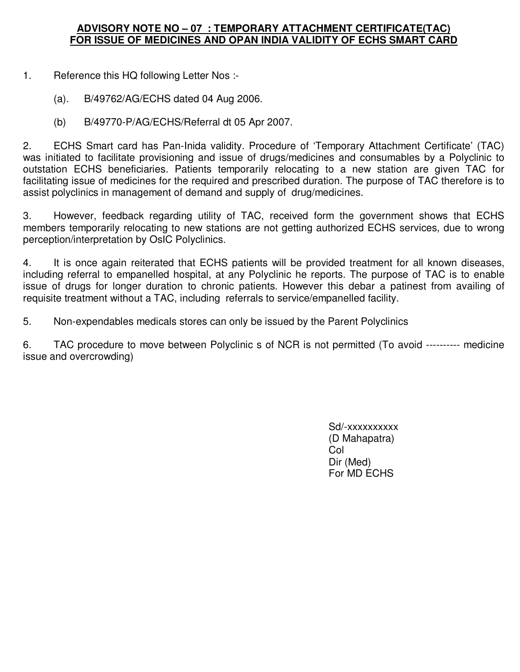## **ADVISORY NOTE NO – 07 : TEMPORARY ATTACHMENT CERTIFICATE(TAC) FOR ISSUE OF MEDICINES AND OPAN INDIA VALIDITY OF ECHS SMART CARD**

1. Reference this HQ following Letter Nos :-

- (a). B/49762/AG/ECHS dated 04 Aug 2006.
- (b) B/49770-P/AG/ECHS/Referral dt 05 Apr 2007.

2. ECHS Smart card has Pan-Inida validity. Procedure of 'Temporary Attachment Certificate' (TAC) was initiated to facilitate provisioning and issue of drugs/medicines and consumables by a Polyclinic to outstation ECHS beneficiaries. Patients temporarily relocating to a new station are given TAC for facilitating issue of medicines for the required and prescribed duration. The purpose of TAC therefore is to assist polyclinics in management of demand and supply of drug/medicines.

3. However, feedback regarding utility of TAC, received form the government shows that ECHS members temporarily relocating to new stations are not getting authorized ECHS services, due to wrong perception/interpretation by OsIC Polyclinics.

4. It is once again reiterated that ECHS patients will be provided treatment for all known diseases, including referral to empanelled hospital, at any Polyclinic he reports. The purpose of TAC is to enable issue of drugs for longer duration to chronic patients. However this debar a patinest from availing of requisite treatment without a TAC, including referrals to service/empanelled facility.

5. Non-expendables medicals stores can only be issued by the Parent Polyclinics

6. TAC procedure to move between Polyclinic s of NCR is not permitted (To avoid ---------- medicine issue and overcrowding)

> Sd/-xxxxxxxxxx (D Mahapatra) <u>in the collection of the collection of the collection of the colle</u>ction of the collection of the collection of the collection of the collection of the collection of the collection of the collection of the collection of t Dir (Med) For MD ECHS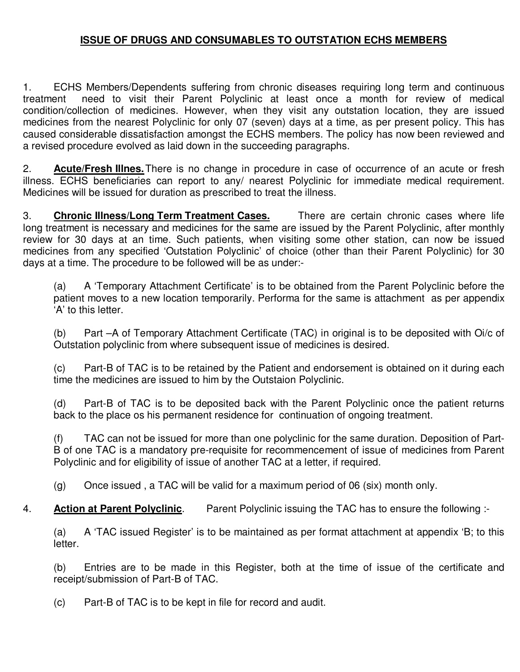## **ISSUE OF DRUGS AND CONSUMABLES TO OUTSTATION ECHS MEMBERS**

1. ECHS Members/Dependents suffering from chronic diseases requiring long term and continuous treatment need to visit their Parent Polyclinic at least once a month for review of medical condition/collection of medicines. However, when they visit any outstation location, they are issued medicines from the nearest Polyclinic for only 07 (seven) days at a time, as per present policy. This has caused considerable dissatisfaction amongst the ECHS members. The policy has now been reviewed and a revised procedure evolved as laid down in the succeeding paragraphs.

2. **Acute/Fresh Illnes.** There is no change in procedure in case of occurrence of an acute or fresh illness. ECHS beneficiaries can report to any/ nearest Polyclinic for immediate medical requirement. Medicines will be issued for duration as prescribed to treat the illness.

3. **Chronic Illness/Long Term Treatment Cases.** There are certain chronic cases where life long treatment is necessary and medicines for the same are issued by the Parent Polyclinic, after monthly review for 30 days at an time. Such patients, when visiting some other station, can now be issued medicines from any specified 'Outstation Polyclinic' of choice (other than their Parent Polyclinic) for 30 days at a time. The procedure to be followed will be as under:-

(a) A 'Temporary Attachment Certificate' is to be obtained from the Parent Polyclinic before the patient moves to a new location temporarily. Performa for the same is attachment as per appendix 'A' to this letter.

(b) Part –A of Temporary Attachment Certificate (TAC) in original is to be deposited with Oi/c of Outstation polyclinic from where subsequent issue of medicines is desired.

(c) Part-B of TAC is to be retained by the Patient and endorsement is obtained on it during each time the medicines are issued to him by the Outstaion Polyclinic.

 (d) Part-B of TAC is to be deposited back with the Parent Polyclinic once the patient returns back to the place os his permanent residence for continuation of ongoing treatment.

 (f) TAC can not be issued for more than one polyclinic for the same duration. Deposition of Part-B of one TAC is a mandatory pre-requisite for recommencement of issue of medicines from Parent Polyclinic and for eligibility of issue of another TAC at a letter, if required.

(g) Once issued , a TAC will be valid for a maximum period of 06 (six) month only.

4. **Action at Parent Polyclinic**. Parent Polyclinic issuing the TAC has to ensure the following :-

 (a) A 'TAC issued Register' is to be maintained as per format attachment at appendix 'B; to this letter.

 (b) Entries are to be made in this Register, both at the time of issue of the certificate and receipt/submission of Part-B of TAC.

(c) Part-B of TAC is to be kept in file for record and audit.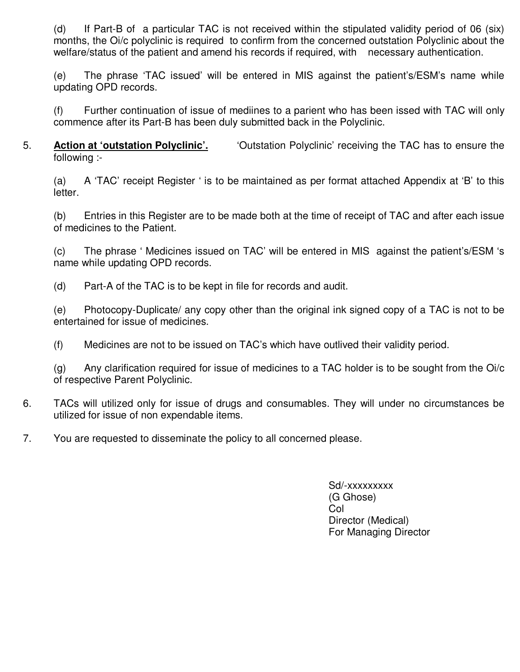(d) If Part-B of a particular TAC is not received within the stipulated validity period of 06 (six) months, the Oi/c polyclinic is required to confirm from the concerned outstation Polyclinic about the welfare/status of the patient and amend his records if required, with necessary authentication.

 (e) The phrase 'TAC issued' will be entered in MIS against the patient's/ESM's name while updating OPD records.

 (f) Further continuation of issue of mediines to a parient who has been issed with TAC will only commence after its Part-B has been duly submitted back in the Polyclinic.

5. **Action at 'outstation Polyclinic'.** 'Outstation Polyclinic' receiving the TAC has to ensure the following :-

 (a) A 'TAC' receipt Register ' is to be maintained as per format attached Appendix at 'B' to this letter.

 (b) Entries in this Register are to be made both at the time of receipt of TAC and after each issue of medicines to the Patient.

 (c) The phrase ' Medicines issued on TAC' will be entered in MIS against the patient's/ESM 's name while updating OPD records.

(d) Part-A of the TAC is to be kept in file for records and audit.

 (e) Photocopy-Duplicate/ any copy other than the original ink signed copy of a TAC is not to be entertained for issue of medicines.

(f) Medicines are not to be issued on TAC's which have outlived their validity period.

 (g) Any clarification required for issue of medicines to a TAC holder is to be sought from the Oi/c of respective Parent Polyclinic.

- 6. TACs will utilized only for issue of drugs and consumables. They will under no circumstances be utilized for issue of non expendable items.
- 7. You are requested to disseminate the policy to all concerned please.

 Sd/-xxxxxxxxx (G Ghose) **College Street Street Street Street Street Street Street Street Street Street Street Street Street Street Str**  Director (Medical) For Managing Director